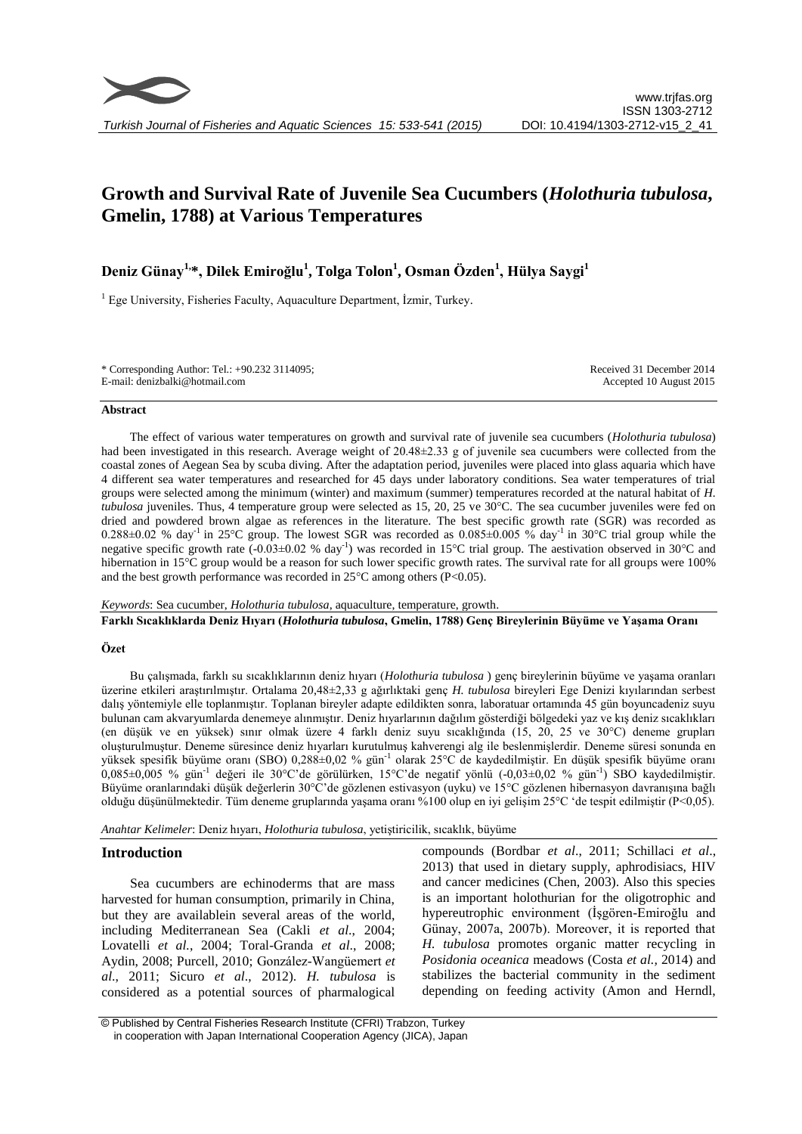

# **Growth and Survival Rate of Juvenile Sea Cucumbers (***Holothuria tubulosa***, Gmelin, 1788) at Various Temperatures**

# **Deniz Günay1, \*, Dilek Emiroğlu<sup>1</sup> , Tolga Tolon<sup>1</sup> , Osman Özden<sup>1</sup> , Hülya Saygi<sup>1</sup>**

<sup>1</sup> Ege University, Fisheries Faculty, Aquaculture Department, İzmir, Turkey.

| * Corresponding Author: Tel.: $+90.232$ 3114095; | Received 31 December 2014 |
|--------------------------------------------------|---------------------------|
| E-mail: denizbalki@hotmail.com                   | Accepted 10 August 2015   |

#### **Abstract**

The effect of various water temperatures on growth and survival rate of juvenile sea cucumbers (*Holothuria tubulosa*) had been investigated in this research. Average weight of 20.48±2.33 g of juvenile sea cucumbers were collected from the coastal zones of Aegean Sea by scuba diving. After the adaptation period, juveniles were placed into glass aquaria which have 4 different sea water temperatures and researched for 45 days under laboratory conditions. Sea water temperatures of trial groups were selected among the minimum (winter) and maximum (summer) temperatures recorded at the natural habitat of *H. tubulosa* juveniles. Thus, 4 temperature group were selected as 15, 20, 25 ve 30°C. The sea cucumber juveniles were fed on dried and powdered brown algae as references in the literature. The best specific growth rate (SGR) was recorded as 0.288 $\pm$ 0.02 % day<sup>-1</sup> in 25°C group. The lowest SGR was recorded as 0.085 $\pm$ 0.005 % day<sup>-1</sup> in 30°C trial group while the negative specific growth rate  $(-0.03 \pm 0.02 \% \text{ day}^{-1})$  was recorded in 15°C trial group. The aestivation observed in 30°C and hibernation in 15°C group would be a reason for such lower specific growth rates. The survival rate for all groups were 100% and the best growth performance was recorded in  $25^{\circ}$ C among others (P<0.05).

*Keywords*: Sea cucumber, *Holothuria tubulosa*, aquaculture, temperature, growth.

**Farklı Sıcaklıklarda Deniz Hıyarı (***Holothuria tubulosa***, Gmelin, 1788) Genç Bireylerinin Büyüme ve Yaşama Oranı**

#### **Özet**

Bu çalışmada, farklı su sıcaklıklarının deniz hıyarı (*Holothuria tubulosa* ) genç bireylerinin büyüme ve yaşama oranları üzerine etkileri araştırılmıştır. Ortalama 20,48±2,33 g ağırlıktaki genç *H. tubulosa* bireyleri Ege Denizi kıyılarından serbest dalış yöntemiyle elle toplanmıştır. Toplanan bireyler adapte edildikten sonra, laboratuar ortamında 45 gün boyuncadeniz suyu bulunan cam akvaryumlarda denemeye alınmıştır. Deniz hıyarlarının dağılım gösterdiği bölgedeki yaz ve kış deniz sıcaklıkları (en düşük ve en yüksek) sınır olmak üzere 4 farklı deniz suyu sıcaklığında (15, 20, 25 ve 30°C) deneme grupları oluşturulmuştur. Deneme süresince deniz hıyarları kurutulmuş kahverengi alg ile beslenmişlerdir. Deneme süresi sonunda en yüksek spesifik büyüme oranı (SBO) 0,288±0,02 % gün-1 olarak 25°C de kaydedilmiştir. En düşük spesifik büyüme oranı 0,085±0,005 % gün-1 değeri ile 30°C'de görülürken, 15°C'de negatif yönlü (-0,03±0,02 % gün-1 ) SBO kaydedilmiştir. Büyüme oranlarındaki düşük değerlerin 30°C'de gözlenen estivasyon (uyku) ve 15°C gözlenen hibernasyon davranışına bağlı olduğu düşünülmektedir. Tüm deneme gruplarında yaşama oranı %100 olup en iyi gelişim 25°C 'de tespit edilmiştir (P<0,05).

*Anahtar Kelimeler*: Deniz hıyarı, *Holothuria tubulosa*, yetiştiricilik, sıcaklık, büyüme

#### **Introduction**

Sea cucumbers are echinoderms that are mass harvested for human consumption, primarily in China, but they are availablein several areas of the world, including Mediterranean Sea (Cakli *et al*., 2004; Lovatelli *et al.*, 2004; Toral-Granda *et al*., 2008; Aydin, 2008; Purcell, 2010; González-Wangüemert *et al*., 2011; Sicuro *et al*., 2012). *H. tubulosa* is considered as a potential sources of pharmalogical

compounds (Bordbar *et al*., 2011; Schillaci *et al*., 2013) that used in dietary supply, aphrodisiacs, HIV and cancer medicines (Chen, 2003). Also this species is an important holothurian for the oligotrophic and hypereutrophic environment (İşgören-Emiroğlu and Günay, 2007a, 2007b). Moreover, it is reported that *H. tubulosa* promotes organic matter recycling in *Posidonia oceanica* meadows (Costa *et al.,* 2014) and stabilizes the bacterial community in the sediment depending on feeding activity (Amon and Herndl,

© Published by Central Fisheries Research Institute (CFRI) Trabzon, Turkey in cooperation with Japan International Cooperation Agency (JICA), Japan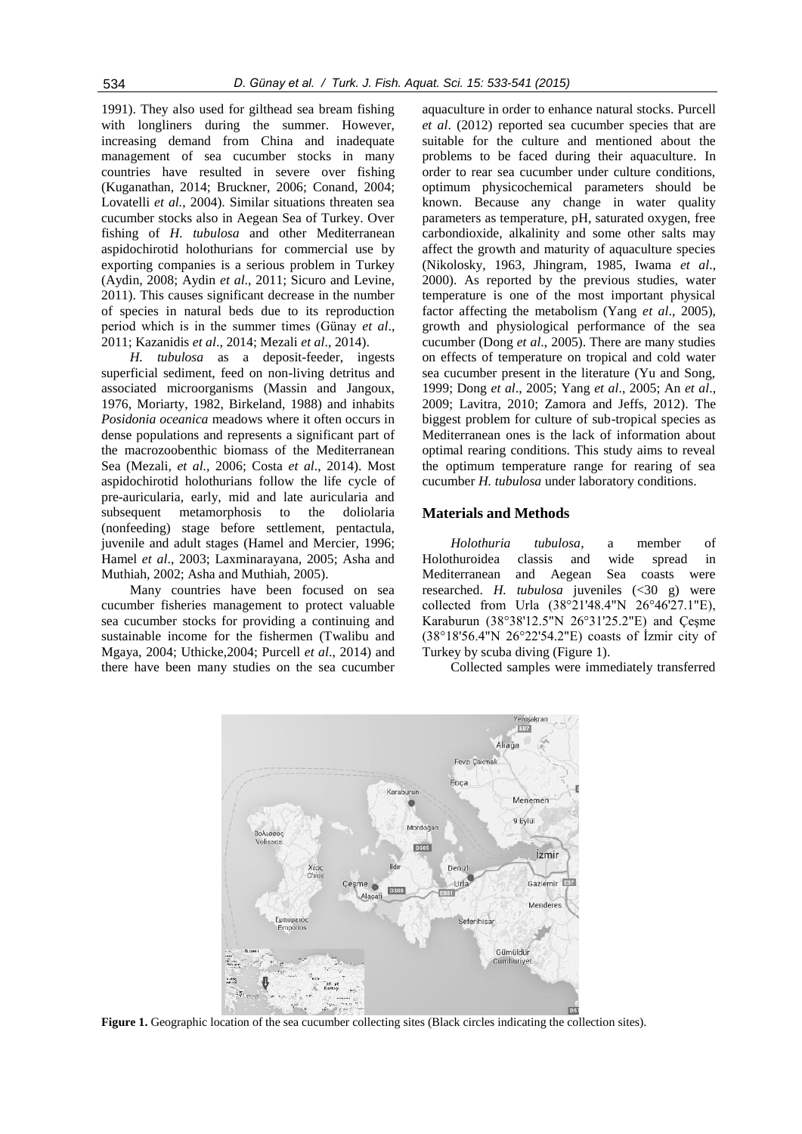1991). They also used for gilthead sea bream fishing with longliners during the summer. However, increasing demand from China and inadequate management of sea cucumber stocks in many countries have resulted in severe over fishing (Kuganathan, 2014; Bruckner, 2006; Conand, 2004; Lovatelli *et al.*, 2004). Similar situations threaten sea cucumber stocks also in Aegean Sea of Turkey. Over fishing of *H. tubulosa* and other Mediterranean aspidochirotid holothurians for commercial use by exporting companies is a serious problem in Turkey (Aydin, 2008; Aydin *et al*., 2011; Sicuro and Levine, 2011). This causes significant decrease in the number of species in natural beds due to its reproduction period which is in the summer times (Günay *et al*., 2011; Kazanidis *et al*., 2014; Mezali *et al*., 2014).

*H. tubulosa* as a deposit-feeder, ingests superficial sediment, feed on non-living detritus and associated microorganisms (Massin and Jangoux, 1976, Moriarty, 1982, Birkeland, 1988) and inhabits *Posidonia oceanica* meadows where it often occurs in dense populations and represents a significant part of the macrozoobenthic biomass of the Mediterranean Sea (Mezali, *et al.,* 2006; Costa *et al*.*,* 2014). Most aspidochirotid holothurians follow the life cycle of pre-auricularia, early, mid and late auricularia and subsequent metamorphosis to the doliolaria (nonfeeding) stage before settlement, pentactula, juvenile and adult stages (Hamel and Mercier, 1996; Hamel *et al*., 2003; Laxminarayana, 2005; Asha and Muthiah, 2002; Asha and Muthiah, 2005).

Many countries have been focused on sea cucumber fisheries management to protect valuable sea cucumber stocks for providing a continuing and sustainable income for the fishermen (Twalibu and Mgaya, 2004; Uthicke,2004; Purcell *et al*., 2014) and there have been many studies on the sea cucumber

aquaculture in order to enhance natural stocks. [Purcell](http://www.sciencedirect.com/science/article/pii/S0044848612005340#bb0295) *et al*. [\(2012\)](http://www.sciencedirect.com/science/article/pii/S0044848612005340#bb0295) reported sea cucumber species that are suitable for the culture and mentioned about the problems to be faced during their aquaculture. In order to rear sea cucumber under culture conditions, optimum physicochemical parameters should be known. Because any change in water quality parameters as temperature, pH, saturated oxygen, free carbondioxide, alkalinity and some other salts may affect the growth and maturity of aquaculture species (Nikolosky, 1963, Jhingram, 1985, Iwama *et al*., 2000). As reported by the previous studies, water temperature is one of the most important physical factor affecting the metabolism (Yang *et al*., 2005), growth and physiological performance of the sea cucumber (Dong *et al*., 2005). There are many studies on effects of temperature on tropical and cold water sea cucumber present in the literature (Yu and Song, 1999; Dong *et al*., 2005; Yang *et al*., 2005; An *et al*., 2009; Lavitra, 2010; Zamora and Jeffs, 2012). The biggest problem for culture of sub-tropical species as Mediterranean ones is the lack of information about optimal rearing conditions. This study aims to reveal the optimum temperature range for rearing of sea cucumber *H. tubulosa* under laboratory conditions.

# **Materials and Methods**

*Holothuria tubulosa*, a member of Holothuroidea classis and wide spread in Mediterranean and Aegean Sea coasts were researched. *H. tubulosa* juveniles (<30 g) were collected from Urla (38°21'48.4"N 26°46'27.1"E), Karaburun (38°38'12.5"N 26°31'25.2"E) and Çeşme (38°18'56.4"N 26°22'54.2"E) coasts of İzmir city of Turkey by scuba diving (Figure 1).

Collected samples were immediately transferred



**Figure 1.** Geographic location of the sea cucumber collecting sites (Black circles indicating the collection sites).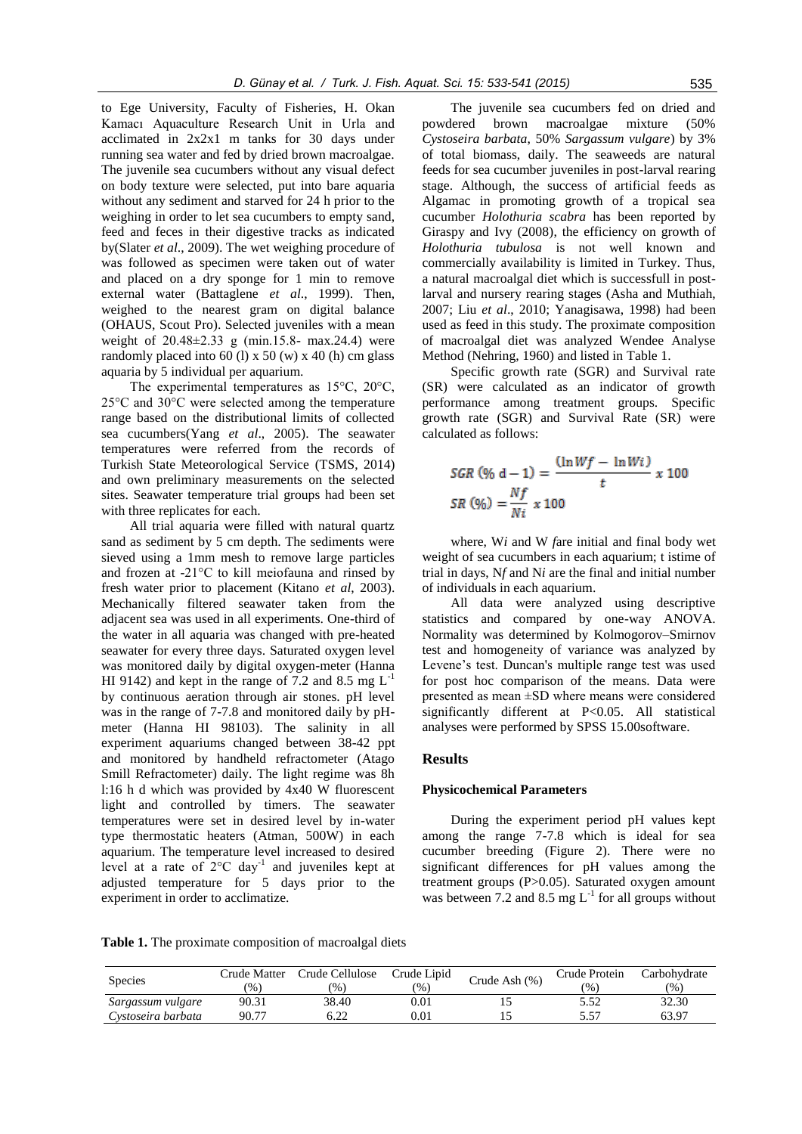to Ege University, Faculty of Fisheries, H. Okan Kamacı Aquaculture Research Unit in Urla and acclimated in 2x2x1 m tanks for 30 days under running sea water and fed by dried brown macroalgae. The juvenile sea cucumbers without any visual defect on body texture were selected, put into bare aquaria without any sediment and starved for 24 h prior to the weighing in order to let sea cucumbers to empty sand, feed and feces in their digestive tracks as indicated by(Slater *et al*., 2009). The wet weighing procedure of was followed as specimen were taken out of water and placed on a dry sponge for 1 min to remove external water (Battaglene *et al*., 1999). Then, weighed to the nearest gram on digital balance (OHAUS, Scout Pro). Selected juveniles with a mean weight of 20.48±2.33 g (min.15.8- max.24.4) were randomly placed into 60 (l)  $x$  50 (w)  $x$  40 (h) cm glass aquaria by 5 individual per aquarium.

The experimental temperatures as 15°C, 20°C, 25°C and 30°C were selected among the temperature range based on the distributional limits of collected sea cucumbers(Yang *et al*., 2005). The seawater temperatures were referred from the records of Turkish State Meteorological Service (TSMS, 2014) and own preliminary measurements on the selected sites. Seawater temperature trial groups had been set with three replicates for each.

All trial aquaria were filled with natural quartz sand as sediment by 5 cm depth. The sediments were sieved using a 1mm mesh to remove large particles and frozen at -21°C to kill meiofauna and rinsed by fresh water prior to placement (Kitano *et al*, 2003). Mechanically filtered seawater taken from the adjacent sea was used in all experiments. One-third of the water in all aquaria was changed with pre-heated seawater for every three days. Saturated oxygen level was monitored daily by digital oxygen-meter (Hanna HI 9142) and kept in the range of 7.2 and 8.5 mg  $L^{-1}$ by continuous aeration through air stones. pH level was in the range of 7-7.8 and monitored daily by pHmeter (Hanna HI 98103). The salinity in all experiment aquariums changed between 38-42 ppt and monitored by handheld refractometer (Atago Smill Refractometer) daily. The light regime was 8h l:16 h d which was provided by 4x40 W fluorescent light and controlled by timers. The seawater temperatures were set in desired level by in-water type thermostatic heaters (Atman, 500W) in each aquarium. The temperature level increased to desired level at a rate of  $2^{\circ}$ C day<sup>-1</sup> and juveniles kept at adjusted temperature for 5 days prior to the experiment in order to acclimatize.

The juvenile sea cucumbers fed on dried and powdered brown macroalgae mixture (50% *Cystoseira barbata*, 50% *Sargassum vulgare*) by 3% of total biomass, daily. The seaweeds are natural feeds for sea cucumber juveniles in post-larval rearing stage. Although, the success of artificial feeds as Algamac in promoting growth of a tropical sea cucumber *Holothuria scabra* has been reported by Giraspy and Ivy (2008), the efficiency on growth of *Holothuria tubulosa* is not well known and commercially availability is limited in Turkey. Thus, a natural macroalgal diet which is successfull in postlarval and nursery rearing stages (Asha and Muthiah, 2007; Liu *et al*., 2010; Yanagisawa, 1998) had been used as feed in this study. The proximate composition of macroalgal diet was analyzed Wendee Analyse Method (Nehring, 1960) and listed in Table 1.

Specific growth rate (SGR) and Survival rate (SR) were calculated as an indicator of growth performance among treatment groups. Specific growth rate (SGR) and Survival Rate (SR) were calculated as follows:

$$
SGR (96 d - 1) = \frac{(\ln Wf - \ln Wi)}{t} \times 100
$$
  
SR (96) =  $\frac{Nf}{Ni} \times 100$ 

where, W*i* and W *f*are initial and final body wet weight of sea cucumbers in each aquarium; t istime of trial in days, N*f* and N*i* are the final and initial number of individuals in each aquarium.

All data were analyzed using descriptive statistics and compared by one-way ANOVA. Normality was determined by Kolmogorov–Smirnov test and homogeneity of variance was analyzed by Levene's test. Duncan's multiple range test was used for post hoc comparison of the means. Data were presented as mean ±SD where means were considered significantly different at P<0.05. All statistical analyses were performed by SPSS 15.00software.

# **Results**

#### **Physicochemical Parameters**

During the experiment period pH values kept among the range 7-7.8 which is ideal for sea cucumber breeding (Figure 2). There were no significant differences for pH values among the treatment groups (P>0.05). Saturated oxygen amount was between 7.2 and 8.5 mg  $L^{-1}$  for all groups without

**Table 1.** The proximate composition of macroalgal diets

| <b>Species</b>     | Crude Matter<br>$\frac{1}{2}$ | Crude Cellulose<br>$\frac{1}{2}$ | Crude Lipid<br>(96) | Crude Ash (%) | Crude Protein<br>$\frac{1}{2}$ | Carbohvdrate<br>(96) |
|--------------------|-------------------------------|----------------------------------|---------------------|---------------|--------------------------------|----------------------|
| Sargassum vulgare  | 90.31                         | 38.40                            | 0.01                | LJ            | 5.52                           | 32.30                |
| Cystoseira barbata | 90.77                         | 5.22                             | 0.01                |               | 5.57                           | 63.97                |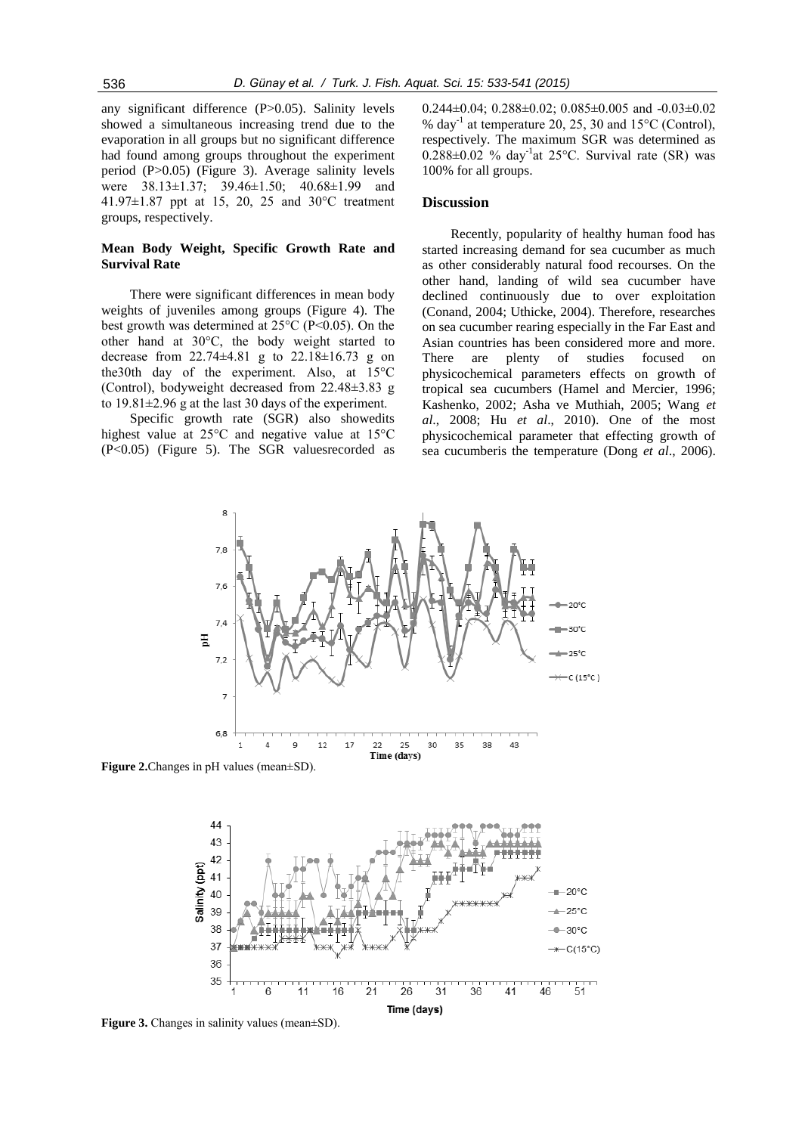any significant difference (P>0.05). Salinity levels showed a simultaneous increasing trend due to the evaporation in all groups but no significant difference had found among groups throughout the experiment period (P>0.05) (Figure 3). Average salinity levels were 38.13±1.37; 39.46±1.50; 40.68±1.99 and 41.97±1.87 ppt at 15, 20, 25 and 30°C treatment groups, respectively.

# **Mean Body Weight, Specific Growth Rate and Survival Rate**

There were significant differences in mean body weights of juveniles among groups (Figure 4). The best growth was determined at 25°C (P<0.05). On the other hand at 30°C, the body weight started to decrease from 22.74±4.81 g to 22.18±16.73 g on the30th day of the experiment. Also, at 15°C (Control), bodyweight decreased from 22.48±3.83 g to 19.81±2.96 g at the last 30 days of the experiment.

Specific growth rate (SGR) also showedits highest value at 25°C and negative value at 15°C (P<0.05) (Figure 5). The SGR valuesrecorded as

0.244±0.04; 0.288±0.02; 0.085±0.005 and -0.03±0.02 % day<sup>-1</sup> at temperature 20, 25, 30 and 15°C (Control), respectively. The maximum SGR was determined as  $0.288 \pm 0.02$  % day<sup>-1</sup>at 25°C. Survival rate (SR) was 100% for all groups.

#### **Discussion**

Recently, popularity of healthy human food has started increasing demand for sea cucumber as much as other considerably natural food recourses. On the other hand, landing of wild sea cucumber have declined continuously due to over exploitation (Conand, 2004; Uthicke, 2004). Therefore, researches on sea cucumber rearing especially in the Far East and Asian countries has been considered more and more. There are plenty of studies focused on physicochemical parameters effects on growth of tropical sea cucumbers (Hamel and Mercier, 1996; Kashenko, 2002; Asha ve Muthiah, 2005; Wang *et al*., 2008; Hu *et al*., 2010). One of the most physicochemical parameter that effecting growth of sea cucumberis the temperature (Dong *et al*., 2006).



**Figure 2.**Changes in pH values (mean±SD).



**Figure 3.** Changes in salinity values (mean±SD).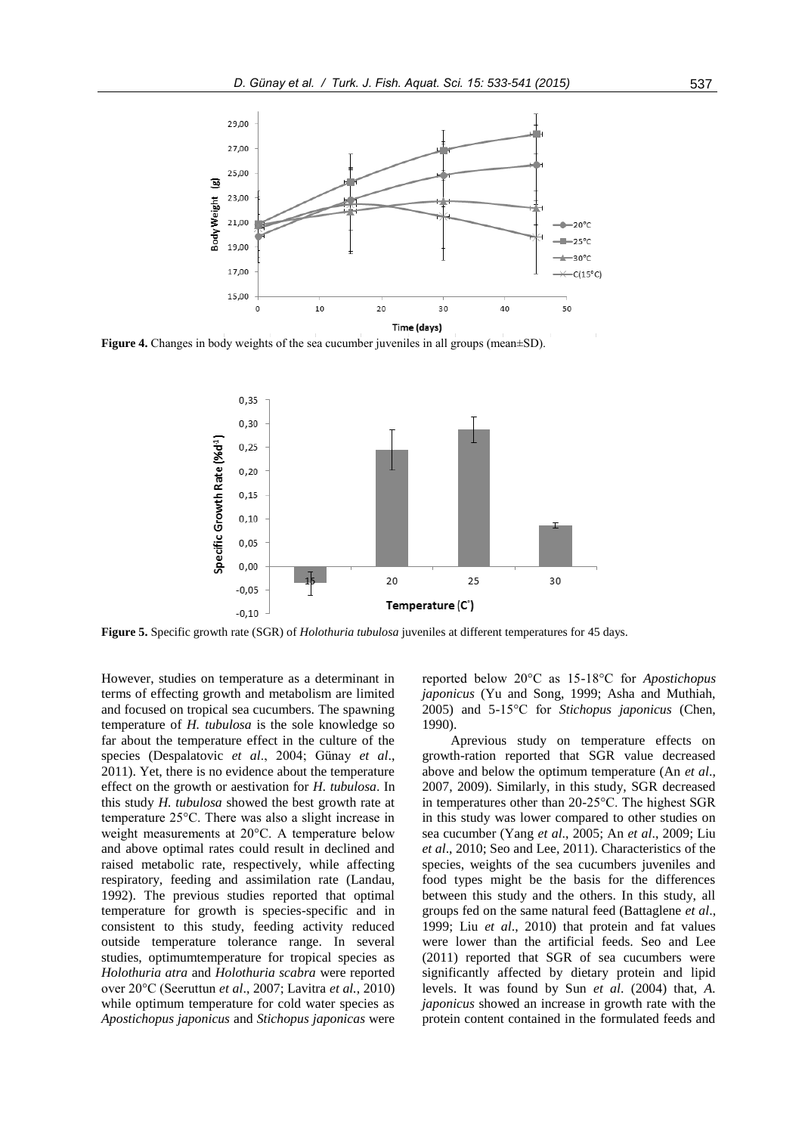

**Figure 4.** Changes in body weights of the sea cucumber juveniles in all groups (mean±SD).



**Figure 5.** Specific growth rate (SGR) of *Holothuria tubulosa* juveniles at different temperatures for 45 days.

However, studies on temperature as a determinant in terms of effecting growth and metabolism are limited and focused on tropical sea cucumbers. The spawning temperature of *H. tubulosa* is the sole knowledge so far about the temperature effect in the culture of the species (Despalatovic *et al*., 2004; Günay *et al*., 2011). Yet, there is no evidence about the temperature effect on the growth or aestivation for *H. tubulosa*. In this study *H. tubulosa* showed the best growth rate at temperature 25°C. There was also a slight increase in weight measurements at 20°C. A temperature below and above optimal rates could result in declined and raised metabolic rate, respectively, while affecting respiratory, feeding and assimilation rate (Landau, 1992). The previous studies reported that optimal temperature for growth is species-specific and in consistent to this study, feeding activity reduced outside temperature tolerance range. In several studies, optimumtemperature for tropical species as *Holothuria atra* and *Holothuria scabra* were reported over 20°C (Seeruttun *et al*., 2007; Lavitra *et al.*, 2010) while optimum temperature for cold water species as *Apostichopus japonicus* and *Stichopus japonicas* were

reported below 20°C as 15-18°C for *Apostichopus japonicus* (Yu and Song, 1999; Asha and Muthiah, 2005) and 5-15°C for *Stichopus japonicus* (Chen, 1990).

Aprevious study on temperature effects on growth-ration reported that SGR value decreased above and below the optimum temperature (An *et al*., 2007, 2009). Similarly, in this study, SGR decreased in temperatures other than 20-25°C. The highest SGR in this study was lower compared to other studies on sea cucumber (Yang *et al*., 2005; An *et al*., 2009; Liu *et al*., 2010; Seo and Lee, 2011). Characteristics of the species, weights of the sea cucumbers juveniles and food types might be the basis for the differences between this study and the others. In this study, all groups fed on the same natural feed (Battaglene *et al*., 1999; Liu *et al*., 2010) that protein and fat values were lower than the artificial feeds. Seo and Lee (2011) reported that SGR of sea cucumbers were significantly affected by dietary protein and lipid levels. It was found by Sun *et al*. (2004) that, *A. japonicus* showed an increase in growth rate with the protein content contained in the formulated feeds and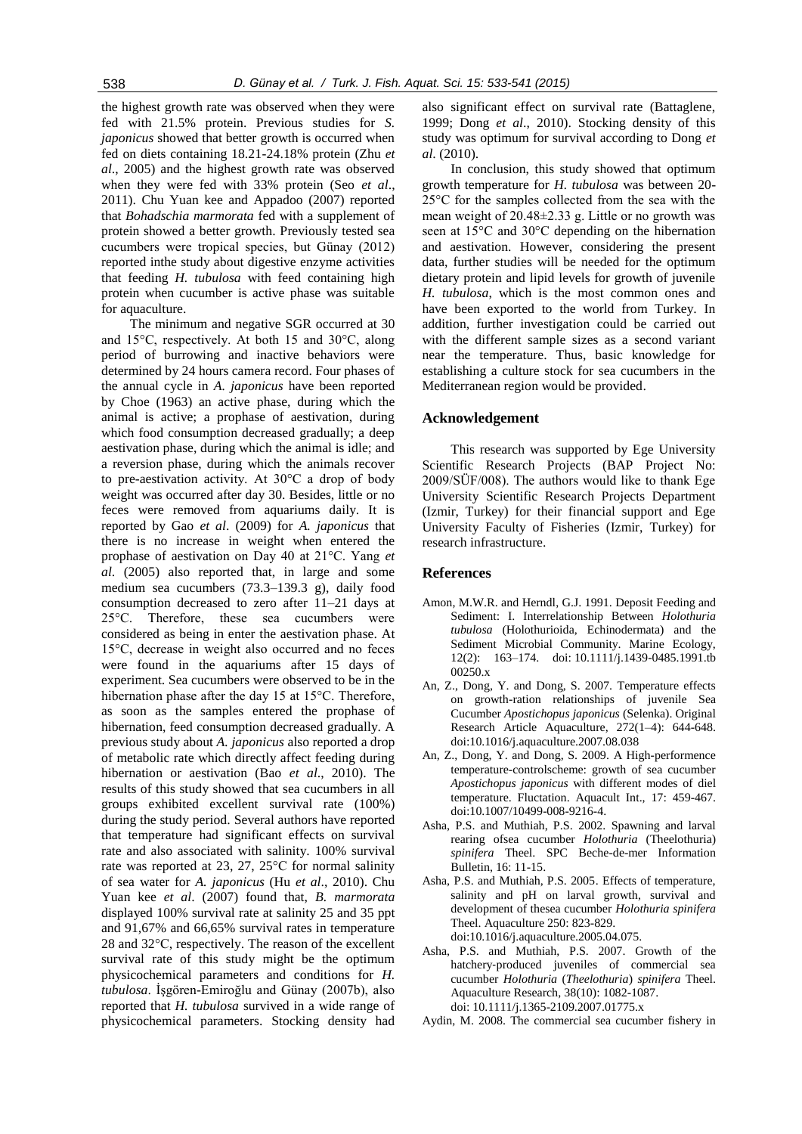the highest growth rate was observed when they were fed with 21.5% protein. Previous studies for *S. japonicus* showed that better growth is occurred when fed on diets containing 18.21-24.18% protein (Zhu *et al*., 2005) and the highest growth rate was observed when they were fed with 33% protein (Seo *et al*., 2011). Chu Yuan kee and Appadoo (2007) reported that *Bohadschia marmorata* fed with a supplement of protein showed a better growth. Previously tested sea cucumbers were tropical species, but Günay (2012) reported inthe study about digestive enzyme activities that feeding *H. tubulosa* with feed containing high protein when cucumber is active phase was suitable for aquaculture.

The minimum and negative SGR occurred at 30 and 15°C, respectively. At both 15 and 30°C, along period of burrowing and inactive behaviors were determined by 24 hours camera record. Four phases of the annual cycle in *A. japonicus* have been reported by Choe (1963) an active phase, during which the animal is active; a prophase of aestivation, during which food consumption decreased gradually; a deep aestivation phase, during which the animal is idle; and a reversion phase, during which the animals recover to pre-aestivation activity. At 30°C a drop of body weight was occurred after day 30. Besides, little or no feces were removed from aquariums daily. It is reported by Gao *et al*. (2009) for *A. japonicus* that there is no increase in weight when entered the prophase of aestivation on Day 40 at 21°C. Yang *et al*. (2005) also reported that, in large and some medium sea cucumbers (73.3–139.3 g), daily food consumption decreased to zero after 11–21 days at 25°C. Therefore, these sea cucumbers were considered as being in enter the aestivation phase. At 15°C, decrease in weight also occurred and no feces were found in the aquariums after 15 days of experiment. Sea cucumbers were observed to be in the hibernation phase after the day 15 at 15°C. Therefore, as soon as the samples entered the prophase of hibernation, feed consumption decreased gradually. A previous study about *A. japonicus* also reported a drop of metabolic rate which directly affect feeding during hibernation or aestivation (Bao *et al*., 2010). The results of this study showed that sea cucumbers in all groups exhibited excellent survival rate (100%) during the study period. Several authors have reported that temperature had significant effects on survival rate and also associated with salinity. 100% survival rate was reported at 23, 27, 25°C for normal salinity of sea water for *A. japonicus* (Hu *et al*., 2010). Chu Yuan kee *et al*. (2007) found that, *B. marmorata*  displayed 100% survival rate at salinity 25 and 35 ppt and 91,67% and 66,65% survival rates in temperature 28 and 32°C, respectively. The reason of the excellent survival rate of this study might be the optimum physicochemical parameters and conditions for *H. tubulosa*. İşgören-Emiroğlu and Günay (2007b), also reported that *H. tubulosa* survived in a wide range of physicochemical parameters. Stocking density had also significant effect on survival rate (Battaglene, 1999; Dong *et al*., 2010). Stocking density of this study was optimum for survival according to Dong *et al*. (2010).

In conclusion, this study showed that optimum growth temperature for *H. tubulosa* was between 20- 25°C for the samples collected from the sea with the mean weight of 20.48±2.33 g. Little or no growth was seen at 15°C and 30°C depending on the hibernation and aestivation. However, considering the present data, further studies will be needed for the optimum dietary protein and lipid levels for growth of juvenile *H. tubulosa*, which is the most common ones and have been exported to the world from Turkey. In addition, further investigation could be carried out with the different sample sizes as a second variant near the temperature. Thus, basic knowledge for establishing a culture stock for sea cucumbers in the Mediterranean region would be provided.

# **Acknowledgement**

This research was supported by Ege University Scientific Research Projects (BAP Project No: 2009/SÜF/008). The authors would like to thank Ege University Scientific Research Projects Department (Izmir, Turkey) for their financial support and Ege University Faculty of Fisheries (Izmir, Turkey) for research infrastructure.

#### **References**

- Amon, M.W.R. and Herndl, G.J. 1991. Deposit Feeding and Sediment: I. Interrelationship Between *Holothuria tubulosa* (Holothurioida, Echinodermata) and the Sediment Microbial Community. Marine Ecology, 12(2): 163–174. doi: 10.1111/j.1439-0485.1991.tb 00250.x
- An, Z., Dong, Y. and Dong, S. 2007. [Temperature](http://www.sciencedirect.com/science/article/pii/S0044848607008873) effects [on growth-ration relationships of juvenile](http://www.sciencedirect.com/science/article/pii/S0044848607008873) Sea Cucumber *[Apostichopus japonicus](http://www.sciencedirect.com/science/article/pii/S0044848607008873)* (Selenka). Original Research Article Aquaculture, 272(1–4): 644-648. doi:10.1016/j.aquaculture.2007.08.038
- An, Z., Dong, Y. and Dong, S. 2009. A High-performence temperature-controlscheme: growth of sea cucumber *Apostichopus japonicus* with different modes of diel temperature. Fluctation. Aquacult Int., 17: 459-467. doi:10.1007/10499-008-9216-4.
- Asha, P.S. and Muthiah, P.S. 2002. Spawning and larval rearing ofsea cucumber *Holothuria* (Theelothuria) *spinifera* Theel. SPC Beche-de-mer Information Bulletin, 16: 11-15.
- Asha, P.S. and Muthiah, P.S. 2005. Effects of temperature, salinity and pH on larval growth, survival and development of thesea cucumber *Holothuria spinifera*  Theel. Aquaculture 250: 823-829. doi:10.1016/j.aquaculture.2005.04.075.
- Asha, P.S. and Muthiah, P.S. 2007. Growth of the hatchery‐produced juveniles of commercial sea cucumber *Holothuria* (*Theelothuria*) *spinifera* Theel. Aquaculture Research, 38(10): 1082-1087. doi: 10.1111/j.1365-2109.2007.01775.x
- Aydin, M. 2008. The commercial sea cucumber fishery in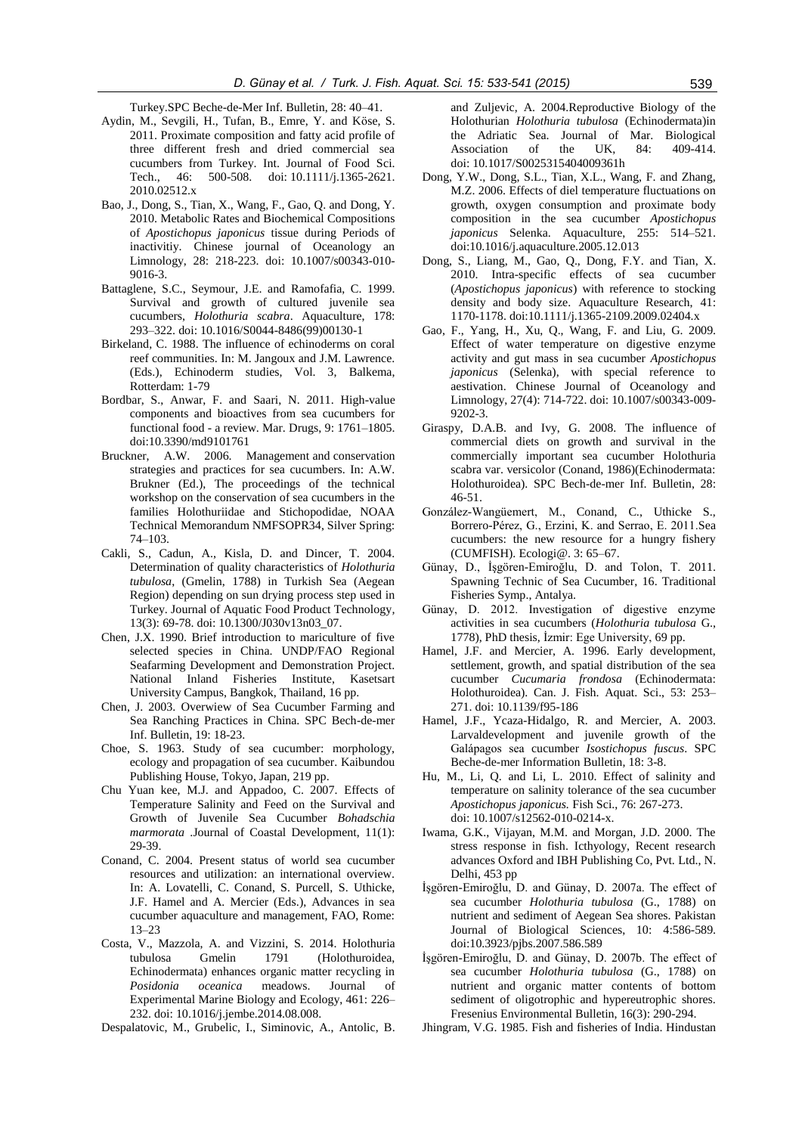Turkey.SPC Beche-de-Mer Inf. Bulletin, 28: 40–41.

- Aydin, M., Sevgili, H., Tufan, B., Emre, Y. and Kӧse, S. 2011. Proximate composition and fatty acid profile of three different fresh and dried commercial sea cucumbers from Turkey. Int. Journal of Food Sci. Tech., 46: 500-508. doi: 10.1111/j.1365-2621. 2010.02512.x
- Bao, J., Dong, S., Tian, X., Wang, F., Gao, Q. and Dong, Y. 2010. Metabolic Rates and Biochemical Compositions of *Apostichopus japonicus* tissue during Periods of inactivitiy. Chinese journal of Oceanology an Limnology, 28: 218-223. doi: 10.1007/s00343-010- 9016-3.
- Battaglene, S.C., Seymour, J.E. and Ramofafia, C. 1999. Survival and growth of cultured juvenile sea cucumbers, *Holothuria scabra*. Aquaculture, 178: 293–322. doi: 10.1016/S0044-8486(99)00130-1
- Birkeland, C. 1988. The influence of echinoderms on coral reef communities. In: M. Jangoux and J.M. Lawrence. (Eds.), Echinoderm studies, Vol. 3, Balkema, Rotterdam: 1-79
- Bordbar, S., Anwar, F. and Saari, N. 2011. High-value components and bioactives from sea cucumbers for functional food - a review. Mar. Drugs, 9: 1761–1805. do[i:10.3390/md9101761](http://dx.doi.org/10.3390/md9101761)
- Bruckner, A.W. 2006. Management and conservation strategies and practices for sea cucumbers. In: A.W. Brukner (Ed.), The proceedings of the technical workshop on the conservation of sea cucumbers in the families Holothuriidae and Stichopodidae, NOAA Technical Memorandum NMFSOPR34, Silver Spring: 74–103.
- Cakli, S., Cadun, A., Kisla, D. and Dincer, T. 2004. Determination of quality characteristics of *Holothuria tubulosa*, (Gmelin, 1788) in Turkish Sea (Aegean Region) depending on sun drying process step used in Turkey. Journal of Aquatic Food Product Technology*,* 13(3): 69-78. doi: 10.1300/J030v13n03\_07.
- Chen, J.X. 1990. Brief introduction to mariculture of five selected species in China. UNDP/FAO Regional Seafarming Development and Demonstration Project. National Inland Fisheries Institute, Kasetsart University Campus, Bangkok, Thailand, 16 pp.
- Chen, J. 2003. Overwiew of Sea Cucumber Farming and Sea Ranching Practices in China. SPC Bech-de-mer Inf. Bulletin, 19: 18-23.
- Choe, S. 1963. Study of sea cucumber: morphology, ecology and propagation of sea cucumber. Kaibundou Publishing House, Tokyo, Japan, 219 pp.
- Chu Yuan kee, M.J. and Appadoo, C. 2007. Effects of Temperature Salinity and Feed on the Survival and Growth of Juvenile Sea Cucumber *Bohadschia marmorata* .Journal of Coastal Development, 11(1): 29-39.
- Conand, C. 2004. Present status of world sea cucumber resources and utilization: an international overview. In: A. Lovatelli, C. Conand, S. Purcell, S. Uthicke, J.F. Hamel and A. Mercier (Eds.), Advances in sea cucumber aquaculture and management, FAO, Rome: 13–23
- Costa, V., Mazzola, A. and Vizzini, S. 2014. Holothuria tubulosa Gmelin 1791 (Holothuroidea, Echinodermata) enhances organic matter recycling in *Posidonia oceanica* meadows. Journal of Experimental Marine Biology and Ecology, 461: 226– 232. doi: 10.1016/j.jembe.2014.08.008.
- Despalatovic, M., Grubelic, I., Siminovic, A., Antolic, B.

and Zuljevic, A. 2004.Reproductive Biology of the Holothurian *Holothuria tubulosa* (Echinodermata)in the Adriatic Sea. Journal of Mar. Biological Association of the UK, 84: 409-414. doi: 10.1017/S0025315404009361h

- Dong, Y.W., Dong, S.L., Tian, X.L., Wang, F. and Zhang, M.Z. 2006. Effects of diel temperature fluctuations on growth, oxygen consumption and proximate body composition in the sea cucumber *Apostichopus japonicus* Selenka. Aquaculture, 255: 514–521. doi:10.1016/j.aquaculture.2005.12.013
- Dong, S., Liang, M., Gao, Q., Dong, F.Y. and Tian, X. 2010. Intra-specific effects of sea cucumber (*Apostichopus japonicus*) with reference to stocking density and body size. Aquaculture Research, 41: 1170-1178. doi:10.1111/j.1365-2109.2009.02404.x
- Gao, F., Yang, H., Xu, Q., Wang, F. and Liu, G. 2009. Effect of water temperature on digestive enzyme activity and gut mass in sea cucumber *Apostichopus japonicus* (Selenka), with special reference to aestivation. Chinese Journal of Oceanology and Limnology, 27(4): 714-722. doi: 10.1007/s00343-009- 9202-3.
- Giraspy, D.A.B. and Ivy, G. 2008. The influence of commercial diets on growth and survival in the commercially important sea cucumber Holothuria scabra var. versicolor (Conand, 1986)(Echinodermata: Holothuroidea). SPC Bech-de-mer Inf. Bulletin, 28: 46-51.
- González-Wangüemert, M., Conand, C., Uthicke S., Borrero-Pérez, G., Erzini, K. and Serrao, E. 2011.Sea cucumbers: the new resource for a hungry fishery (CUMFISH). Ecologi@. 3: 65–67.
- Günay, D., İşgören-Emiroğlu, D. and Tolon, T. 2011. Spawning Technic of Sea Cucumber, 16. Traditional Fisheries Symp., Antalya.
- Günay, D. 2012. Investigation of digestive enzyme activities in sea cucumbers (*Holothuria tubulosa* G., 1778), PhD thesis, İzmir: Ege University, 69 pp.
- Hamel, J.F. and Mercier, A. 1996. Early development, settlement, growth, and spatial distribution of the sea cucumber *Cucumaria frondosa* (Echinodermata: Holothuroidea). Can. J. Fish. Aquat. Sci., 53: 253– 271. doi: 10.1139/f95-186
- Hamel, J.F., Ycaza-Hidalgo, R. and Mercier, A. 2003. Larvaldevelopment and juvenile growth of the Galápagos sea cucumber *Isostichopus fuscus*. SPC Beche-de-mer Information Bulletin, 18: 3-8.
- Hu, M., Li, Q. and Li, L. 2010. Effect of salinity and temperature on salinity tolerance of the sea cucumber *Apostichopus japonicus.* Fish Sci., 76: 267-273. doi: 10.1007/s12562-010-0214-x.
- Iwama, G.K., Vijayan, M.M. and Morgan, J.D. 2000. The stress response in fish. Icthyology, Recent research advances Oxford and IBH Publishing Co, Pvt. Ltd., N. Delhi, 453 pp
- İşgören-Emiroğlu, D. and Günay, D. 2007a. The effect of sea cucumber *Holothuria tubulosa* (G., 1788) on nutrient and sediment of Aegean Sea shores. Pakistan Journal of Biological Sciences, 10: 4:586-589. do[i:10.3923/pjbs.2007.586.589](http://dx.doi.org/10.3923/pjbs.2007.586.589)
- İşgören-Emiroğlu, D. and Günay, D. 2007b. The effect of sea cucumber *Holothuria tubulosa* (G., 1788) on nutrient and organic matter contents of bottom sediment of oligotrophic and hypereutrophic shores. Fresenius Environmental Bulletin, 16(3): 290-294.
- Jhingram, V.G. 1985. Fish and fisheries of India. Hindustan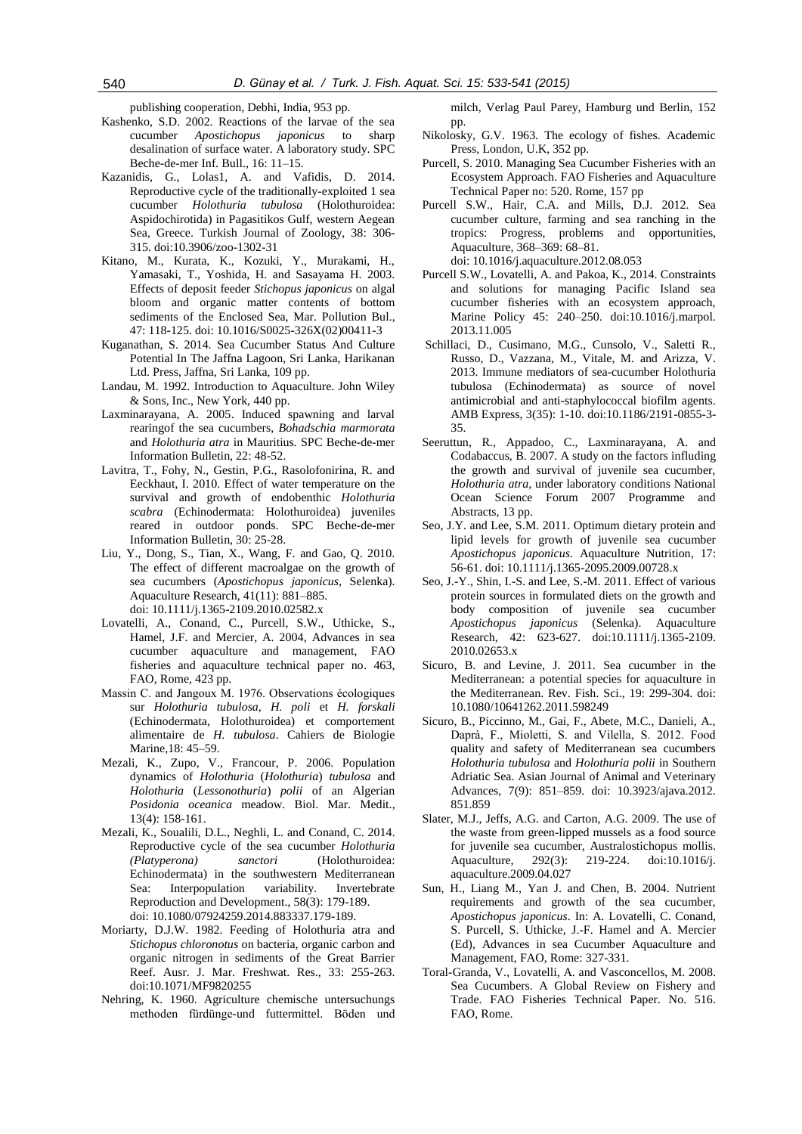publishing cooperation, Debhi, India, 953 pp.

- Kashenko, S.D. 2002. Reactions of the larvae of the sea cucumber *Apostichopus japonicus* to sharp desalination of surface water. A laboratory study. SPC Beche-de-mer Inf. Bull., 16: 11–15.
- Kazanidis, G., Lolas1, A. and Vafidis, D. 2014. Reproductive cycle of the traditionally-exploited 1 sea cucumber *Holothuria tubulosa* (Holothuroidea: Aspidochirotida) in Pagasitikos Gulf, western Aegean Sea, Greece. Turkish Journal of Zoology, 38: 306- 315. doi:10.3906/zoo-1302-31
- Kitano, M., Kurata, K., Kozuki, Y., Murakami, H., Yamasaki, T., Yoshida, H. and Sasayama H. 2003. Effects of deposit feeder *Stichopus japonicus* on algal bloom and organic matter contents of bottom sediments of the Enclosed Sea, Mar. Pollution Bul., 47: 118-125. doi: 10.1016/S0025-326X(02)00411-3
- Kuganathan, S. 2014. Sea Cucumber Status And Culture Potential In The Jaffna Lagoon, Sri Lanka, Harikanan Ltd. Press, Jaffna, Sri Lanka, 109 pp.
- Landau, M. 1992. Introduction to Aquaculture. John Wiley & Sons, Inc., New York, 440 pp.
- Laxminarayana, A. 2005. Induced spawning and larval rearingof the sea cucumbers, *Bohadschia marmorata*  and *Holothuria atra* in Mauritius. SPC Beche-de-mer Information Bulletin, 22: 48-52.
- Lavitra, T., Fohy, N., Gestin, P.G., Rasolofonirina, R. and Eeckhaut, I. 2010. Effect of water temperature on the survival and growth of endobenthic *Holothuria scabra* (Echinodermata: Holothuroidea) juveniles reared in outdoor ponds. SPC Beche-de-mer Information Bulletin, 30: 25-28.
- Liu, Y., Dong, S., Tian, X., Wang, F. and Gao, Q. 2010. The effect of different macroalgae on the growth of sea cucumbers (*Apostichopus japonicus*, Selenka). Aquaculture Research, 41(11): 881–885. doi: 10.1111/j.1365-2109.2010.02582.x
- Lovatelli, A., Conand, C., Purcell, S.W., Uthicke, S., Hamel, J.F. and Mercier, A. 2004, Advances in sea cucumber aquaculture and management, FAO fisheries and aquaculture technical paper no. 463, FAO, Rome, 423 pp.
- Massin C. and Jangoux M. 1976. Observations écologiques sur *Holothuria tubulosa, H. poli* et *H. forskali* (Echinodermata, Holothuroidea) et comportement alimentaire de *H. tubulosa*. Cahiers de Biologie Marine*,*18: 45–59.
- Mezali, K., Zupo, V., Francour, P. 2006. Population dynamics of *Holothuria* (*Holothuria*) *tubulosa* and *Holothuria* (*Lessonothuria*) *polii* of an Algerian *Posidonia oceanica* meadow. Biol. Mar. Medit., 13(4): 158-161.
- Mezali, K., Soualili, D.L., Neghli, L. and Conand, C. 2014. Reproductive cycle of the sea cucumber *Holothuria (Platyperona) sanctori* (Holothuroidea: Echinodermata) in the southwestern Mediterranean Sea: Interpopulation variability. Invertebrate Reproduction and Development., 58(3): 179-189. doi: 10.1080/07924259.2014.883337.179-189.
- Moriarty, D.J.W. 1982. Feeding of Holothuria atra and *Stichopus chloronotus* on bacteria, organic carbon and organic nitrogen in sediments of the Great Barrier Reef. Ausr. J. Mar. Freshwat. Res., 33: 255-263. doi:10.1071/MF9820255
- Nehring, K. 1960. Agriculture chemische untersuchungs methoden fürdünge-und futtermittel. Böden und

milch, Verlag Paul Parey, Hamburg und Berlin, 152 pp.

- Nikolosky, G.V. 1963. The ecology of fishes. Academic Press, London, U.K, 352 pp.
- Purcell, S. 2010. Managing Sea Cucumber Fisheries with an Ecosystem Approach. FAO Fisheries and Aquaculture Technical Paper no: 520. Rome, 157 pp
- Purcell S.W., Hair, C.A. and Mills, D.J. 2012. Sea cucumber culture, farming and sea ranching in the tropics: Progress, problems and opportunities, Aquaculture, 368–369: 68–81. doi: 10.1016/j.aquaculture.2012.08.053
- Purcell S.W., Lovatelli, A. and Pakoa, K., 2014. Constraints and solutions for managing Pacific Island sea cucumber fisheries with an ecosystem approach, Marine Policy 45: 240–250. [doi:10.1016/j.marpol.](http://dx.doi.org/10.1016/j.marpol.2013.11.005) [2013.11.005](http://dx.doi.org/10.1016/j.marpol.2013.11.005)
- Schillaci, D., Cusimano, M.G., Cunsolo, V., Saletti R., Russo, D., Vazzana, M., Vitale, M. and Arizza, V. 2013. Immune mediators of sea-cucumber Holothuria tubulosa (Echinodermata) as source of novel antimicrobial and anti-staphylococcal biofilm agents. AMB Express, 3(35): 1-10. doi:10.1186/2191-0855-3- 35.
- Seeruttun, R., Appadoo, C., Laxminarayana, A. and Codabaccus, B. 2007. A study on the factors influding the growth and survival of juvenile sea cucumber, *Holothuria atra*, under laboratory conditions National Ocean Science Forum 2007 Programme and Abstracts, 13 pp.
- Seo, J.Y. and Lee, S.M. 2011. Optimum dietary protein and lipid levels for growth of juvenile sea cucumber *Apostichopus japonicus*. Aquaculture Nutrition, 17: 56-61. doi: 10.1111/j.1365-2095.2009.00728.x
- Seo, J.-Y., Shin, I.-S. and Lee, S.-M. 2011. Effect of various protein sources in formulated diets on the growth and body composition of juvenile sea cucumber *Apostichopus japonicus* (Selenka). Aquaculture Research, 42: 623-627. doi:10.1111/j.1365-2109. 2010.02653.x
- Sicuro, B. and Levine, J. 2011. Sea cucumber in the Mediterranean: a potential species for aquaculture in the Mediterranean. Rev. Fish. Sci., 19: 299-304. doi: 10.1080/10641262.2011.598249
- Sicuro, B., Piccinno, M., Gai, F., Abete, M.C., Danieli, A., Daprà, F., Mioletti, S. and Vilella, S. 2012. Food quality and safety of Mediterranean sea cucumbers *Holothuria tubulosa* and *Holothuria polii* in Southern Adriatic Sea. Asian Journal of Animal and Veterinary Advances, 7(9): 851–859. doi: 10.3923/ajava.2012. 851.859
- Slater, M.J., Jeffs, A.G. and Carton, A.G. 2009. The use of the waste from green-lipped mussels as a food source for juvenile sea cucumber, Australostichopus mollis. Aquaculture, 292(3): 219-224. doi:10.1016/j. aquaculture.2009.04.027
- Sun, H., Liang M., Yan J. and Chen, B. 2004. Nutrient requirements and growth of the sea cucumber, *Apostichopus japonicus*. In: A. Lovatelli, C. Conand, S. Purcell, S. Uthicke, J.-F. Hamel and A. Mercier (Ed), Advances in sea Cucumber Aquaculture and Management, FAO, Rome: 327-331.
- Toral-Granda, V., Lovatelli, A. and Vasconcellos, M. 2008. Sea Cucumbers. A Global Review on Fishery and Trade. FAO Fisheries Technical Paper. No. 516. FAO, Rome.